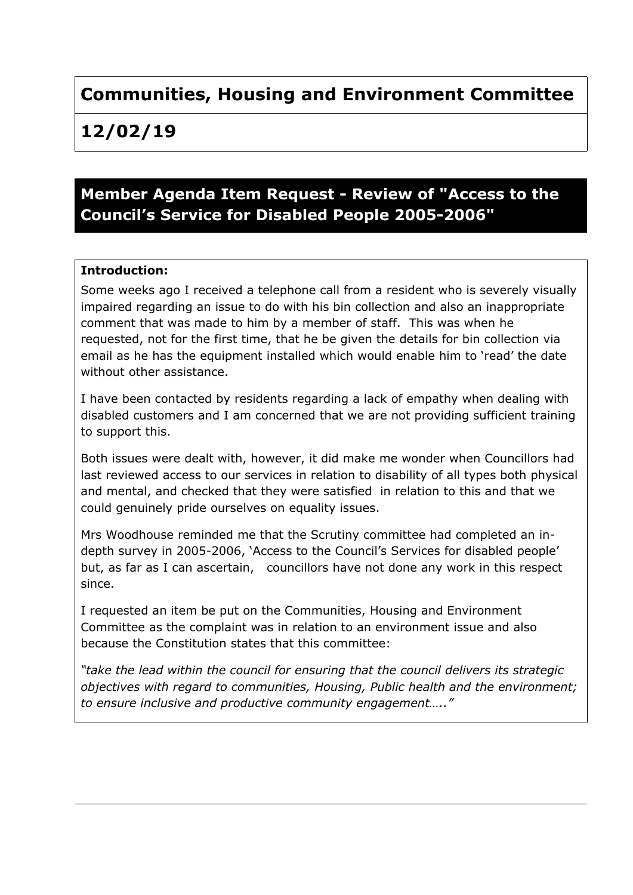# **Communities, Housing and Environment Committee**

**12/02/19**

## **Member Agenda Item Request - Review of "Access to the Council's Service for Disabled People 2005-2006"**

#### **Introduction:**

Some weeks ago I received a telephone call from a resident who is severely visually impaired regarding an issue to do with his bin collection and also an inappropriate comment that was made to him by a member of staff. This was when he requested, not for the first time, that he be given the details for bin collection via email as he has the equipment installed which would enable him to 'read' the date without other assistance.

I have been contacted by residents regarding a lack of empathy when dealing with disabled customers and I am concerned that we are not providing sufficient training to support this.

Both issues were dealt with, however, it did make me wonder when Councillors had last reviewed access to our services in relation to disability of all types both physical and mental, and checked that they were satisfied in relation to this and that we could genuinely pride ourselves on equality issues.

Mrs Woodhouse reminded me that the Scrutiny committee had completed an indepth survey in 2005-2006, 'Access to the Council's Services for disabled people' but, as far as I can ascertain, councillors have not done any work in this respect since.

I requested an item be put on the Communities, Housing and Environment Committee as the complaint was in relation to an environment issue and also because the Constitution states that this committee:

*"take the lead within the council for ensuring that the council delivers its strategic objectives with regard to communities, Housing, Public health and the environment; to ensure inclusive and productive community engagement….."*